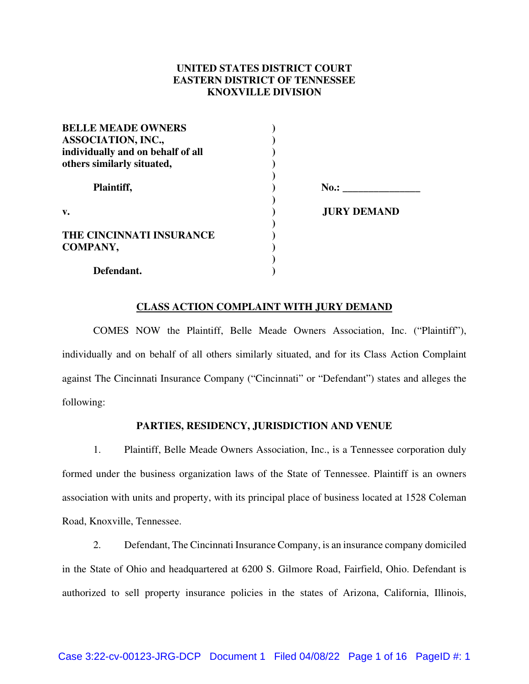# **UNITED STATES DISTRICT COURT EASTERN DISTRICT OF TENNESSEE KNOXVILLE DIVISION**

| <b>BELLE MEADE OWNERS</b>         |                    |
|-----------------------------------|--------------------|
| <b>ASSOCIATION, INC.,</b>         |                    |
| individually and on behalf of all |                    |
| others similarly situated,        |                    |
| Plaintiff,                        | No.:               |
| v.                                | <b>JURY DEMAND</b> |
| THE CINCINNATI INSURANCE          |                    |
| COMPANY,                          |                    |
| Defendant.                        |                    |

# **CLASS ACTION COMPLAINT WITH JURY DEMAND**

COMES NOW the Plaintiff, Belle Meade Owners Association, Inc. ("Plaintiff"), individually and on behalf of all others similarly situated, and for its Class Action Complaint against The Cincinnati Insurance Company ("Cincinnati" or "Defendant") states and alleges the following:

## **PARTIES, RESIDENCY, JURISDICTION AND VENUE**

1. Plaintiff, Belle Meade Owners Association, Inc., is a Tennessee corporation duly formed under the business organization laws of the State of Tennessee. Plaintiff is an owners association with units and property, with its principal place of business located at 1528 Coleman Road, Knoxville, Tennessee.

2. Defendant, The Cincinnati Insurance Company, is an insurance company domiciled in the State of Ohio and headquartered at 6200 S. Gilmore Road, Fairfield, Ohio. Defendant is authorized to sell property insurance policies in the states of Arizona, California, Illinois,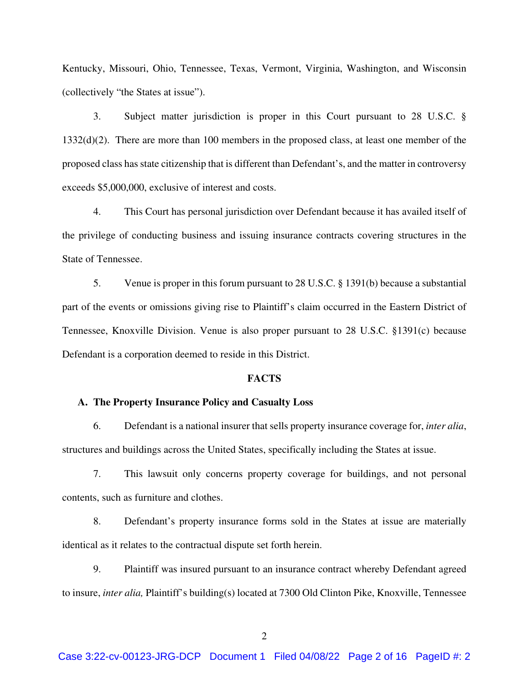Kentucky, Missouri, Ohio, Tennessee, Texas, Vermont, Virginia, Washington, and Wisconsin (collectively "the States at issue").

3. Subject matter jurisdiction is proper in this Court pursuant to 28 U.S.C. § 1332(d)(2). There are more than 100 members in the proposed class, at least one member of the proposed class has state citizenship that is different than Defendant's, and the matter in controversy exceeds \$5,000,000, exclusive of interest and costs.

4. This Court has personal jurisdiction over Defendant because it has availed itself of the privilege of conducting business and issuing insurance contracts covering structures in the State of Tennessee.

5. Venue is proper in this forum pursuant to 28 U.S.C. § 1391(b) because a substantial part of the events or omissions giving rise to Plaintiff's claim occurred in the Eastern District of Tennessee, Knoxville Division. Venue is also proper pursuant to 28 U.S.C. §1391(c) because Defendant is a corporation deemed to reside in this District.

## **FACTS**

#### **A. The Property Insurance Policy and Casualty Loss**

6. Defendant is a national insurer that sells property insurance coverage for, *inter alia*, structures and buildings across the United States, specifically including the States at issue.

7. This lawsuit only concerns property coverage for buildings, and not personal contents, such as furniture and clothes.

8. Defendant's property insurance forms sold in the States at issue are materially identical as it relates to the contractual dispute set forth herein.

9. Plaintiff was insured pursuant to an insurance contract whereby Defendant agreed to insure, *inter alia,* Plaintiff's building(s) located at 7300 Old Clinton Pike, Knoxville, Tennessee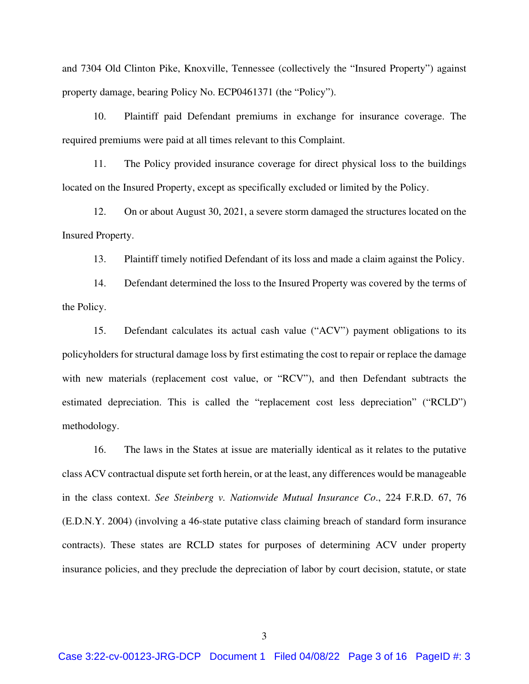and 7304 Old Clinton Pike, Knoxville, Tennessee (collectively the "Insured Property") against property damage, bearing Policy No. ECP0461371 (the "Policy").

10. Plaintiff paid Defendant premiums in exchange for insurance coverage. The required premiums were paid at all times relevant to this Complaint.

11. The Policy provided insurance coverage for direct physical loss to the buildings located on the Insured Property, except as specifically excluded or limited by the Policy.

12. On or about August 30, 2021, a severe storm damaged the structures located on the Insured Property.

13. Plaintiff timely notified Defendant of its loss and made a claim against the Policy.

14. Defendant determined the loss to the Insured Property was covered by the terms of the Policy.

15. Defendant calculates its actual cash value ("ACV") payment obligations to its policyholders for structural damage loss by first estimating the cost to repair or replace the damage with new materials (replacement cost value, or "RCV"), and then Defendant subtracts the estimated depreciation. This is called the "replacement cost less depreciation" ("RCLD") methodology.

16. The laws in the States at issue are materially identical as it relates to the putative class ACV contractual dispute set forth herein, or at the least, any differences would be manageable in the class context. *See Steinberg v. Nationwide Mutual Insurance Co*., 224 F.R.D. 67, 76 (E.D.N.Y. 2004) (involving a 46-state putative class claiming breach of standard form insurance contracts). These states are RCLD states for purposes of determining ACV under property insurance policies, and they preclude the depreciation of labor by court decision, statute, or state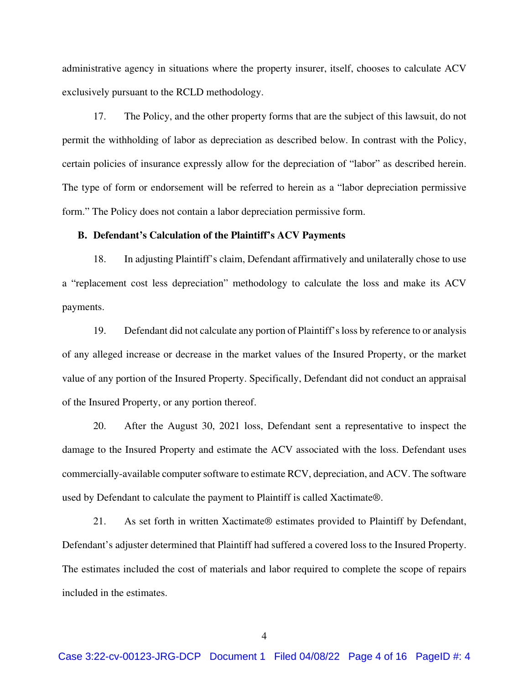administrative agency in situations where the property insurer, itself, chooses to calculate ACV exclusively pursuant to the RCLD methodology.

17. The Policy, and the other property forms that are the subject of this lawsuit, do not permit the withholding of labor as depreciation as described below. In contrast with the Policy, certain policies of insurance expressly allow for the depreciation of "labor" as described herein. The type of form or endorsement will be referred to herein as a "labor depreciation permissive form." The Policy does not contain a labor depreciation permissive form.

#### **B. Defendant's Calculation of the Plaintiff's ACV Payments**

18. In adjusting Plaintiff's claim, Defendant affirmatively and unilaterally chose to use a "replacement cost less depreciation" methodology to calculate the loss and make its ACV payments.

19. Defendant did not calculate any portion of Plaintiff's loss by reference to or analysis of any alleged increase or decrease in the market values of the Insured Property, or the market value of any portion of the Insured Property. Specifically, Defendant did not conduct an appraisal of the Insured Property, or any portion thereof.

20. After the August 30, 2021 loss, Defendant sent a representative to inspect the damage to the Insured Property and estimate the ACV associated with the loss. Defendant uses commercially-available computer software to estimate RCV, depreciation, and ACV. The software used by Defendant to calculate the payment to Plaintiff is called Xactimate®.

21. As set forth in written Xactimate® estimates provided to Plaintiff by Defendant, Defendant's adjuster determined that Plaintiff had suffered a covered loss to the Insured Property. The estimates included the cost of materials and labor required to complete the scope of repairs included in the estimates.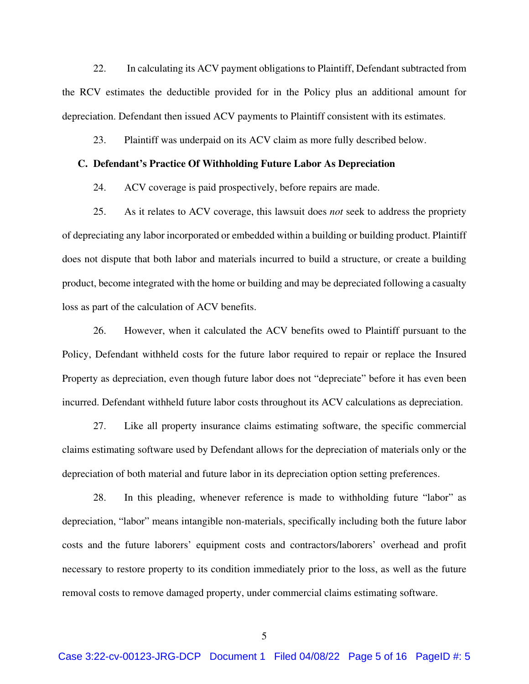22. In calculating its ACV payment obligations to Plaintiff, Defendant subtracted from the RCV estimates the deductible provided for in the Policy plus an additional amount for depreciation. Defendant then issued ACV payments to Plaintiff consistent with its estimates.

23. Plaintiff was underpaid on its ACV claim as more fully described below.

## **C. Defendant's Practice Of Withholding Future Labor As Depreciation**

24. ACV coverage is paid prospectively, before repairs are made.

25. As it relates to ACV coverage, this lawsuit does *not* seek to address the propriety of depreciating any labor incorporated or embedded within a building or building product. Plaintiff does not dispute that both labor and materials incurred to build a structure, or create a building product, become integrated with the home or building and may be depreciated following a casualty loss as part of the calculation of ACV benefits.

26. However, when it calculated the ACV benefits owed to Plaintiff pursuant to the Policy, Defendant withheld costs for the future labor required to repair or replace the Insured Property as depreciation, even though future labor does not "depreciate" before it has even been incurred. Defendant withheld future labor costs throughout its ACV calculations as depreciation.

27. Like all property insurance claims estimating software, the specific commercial claims estimating software used by Defendant allows for the depreciation of materials only or the depreciation of both material and future labor in its depreciation option setting preferences.

28. In this pleading, whenever reference is made to withholding future "labor" as depreciation, "labor" means intangible non-materials, specifically including both the future labor costs and the future laborers' equipment costs and contractors/laborers' overhead and profit necessary to restore property to its condition immediately prior to the loss, as well as the future removal costs to remove damaged property, under commercial claims estimating software.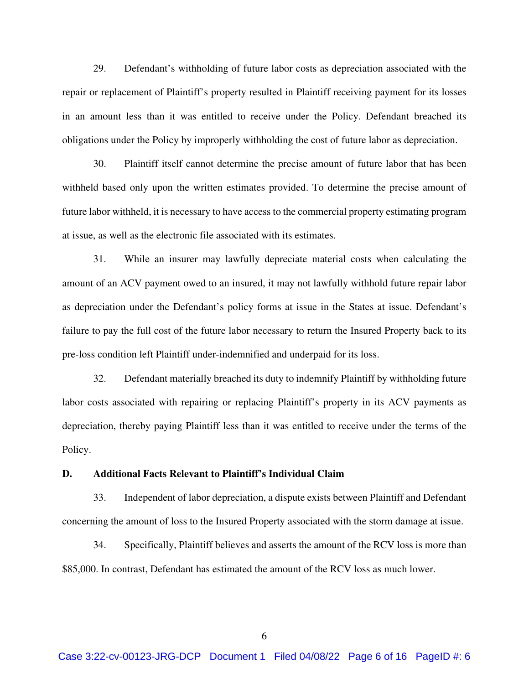29. Defendant's withholding of future labor costs as depreciation associated with the repair or replacement of Plaintiff's property resulted in Plaintiff receiving payment for its losses in an amount less than it was entitled to receive under the Policy. Defendant breached its obligations under the Policy by improperly withholding the cost of future labor as depreciation.

30. Plaintiff itself cannot determine the precise amount of future labor that has been withheld based only upon the written estimates provided. To determine the precise amount of future labor withheld, it is necessary to have access to the commercial property estimating program at issue, as well as the electronic file associated with its estimates.

31. While an insurer may lawfully depreciate material costs when calculating the amount of an ACV payment owed to an insured, it may not lawfully withhold future repair labor as depreciation under the Defendant's policy forms at issue in the States at issue. Defendant's failure to pay the full cost of the future labor necessary to return the Insured Property back to its pre-loss condition left Plaintiff under-indemnified and underpaid for its loss.

32. Defendant materially breached its duty to indemnify Plaintiff by withholding future labor costs associated with repairing or replacing Plaintiff's property in its ACV payments as depreciation, thereby paying Plaintiff less than it was entitled to receive under the terms of the Policy.

## **D. Additional Facts Relevant to Plaintiff's Individual Claim**

33. Independent of labor depreciation, a dispute exists between Plaintiff and Defendant concerning the amount of loss to the Insured Property associated with the storm damage at issue.

34. Specifically, Plaintiff believes and asserts the amount of the RCV loss is more than \$85,000. In contrast, Defendant has estimated the amount of the RCV loss as much lower.

6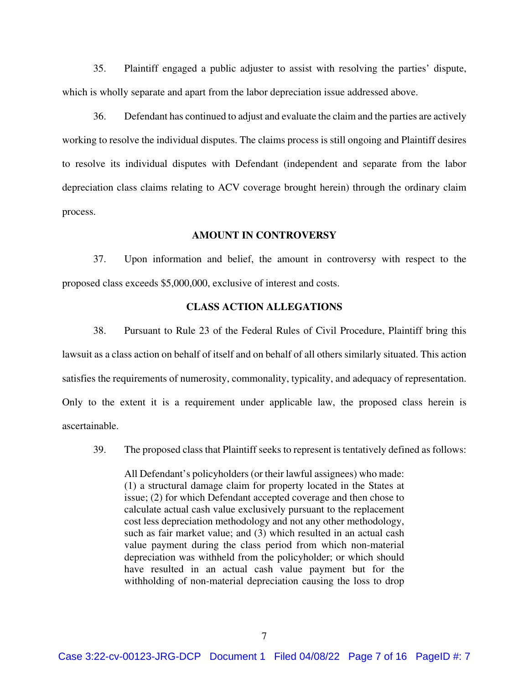35. Plaintiff engaged a public adjuster to assist with resolving the parties' dispute, which is wholly separate and apart from the labor depreciation issue addressed above.

36. Defendant has continued to adjust and evaluate the claim and the parties are actively working to resolve the individual disputes. The claims process is still ongoing and Plaintiff desires to resolve its individual disputes with Defendant (independent and separate from the labor depreciation class claims relating to ACV coverage brought herein) through the ordinary claim process.

#### **AMOUNT IN CONTROVERSY**

37. Upon information and belief, the amount in controversy with respect to the proposed class exceeds \$5,000,000, exclusive of interest and costs.

## **CLASS ACTION ALLEGATIONS**

38. Pursuant to Rule 23 of the Federal Rules of Civil Procedure, Plaintiff bring this lawsuit as a class action on behalf of itself and on behalf of all others similarly situated. This action satisfies the requirements of numerosity, commonality, typicality, and adequacy of representation. Only to the extent it is a requirement under applicable law, the proposed class herein is ascertainable.

39. The proposed class that Plaintiff seeks to represent is tentatively defined as follows:

All Defendant's policyholders (or their lawful assignees) who made: (1) a structural damage claim for property located in the States at issue; (2) for which Defendant accepted coverage and then chose to calculate actual cash value exclusively pursuant to the replacement cost less depreciation methodology and not any other methodology, such as fair market value; and (3) which resulted in an actual cash value payment during the class period from which non-material depreciation was withheld from the policyholder; or which should have resulted in an actual cash value payment but for the withholding of non-material depreciation causing the loss to drop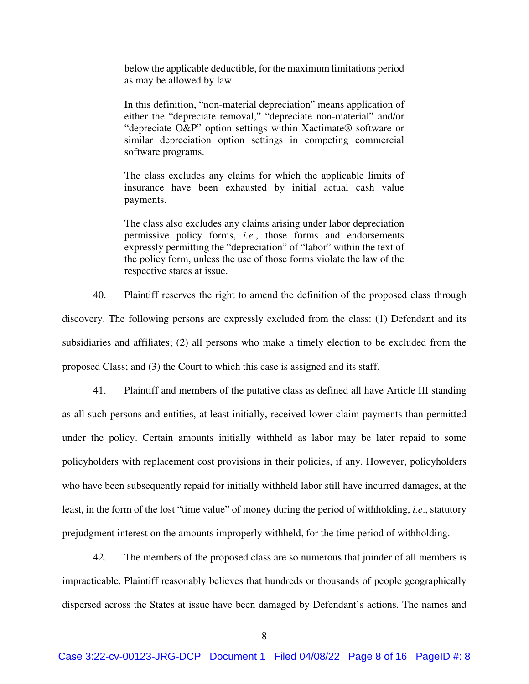below the applicable deductible, for the maximum limitations period as may be allowed by law.

In this definition, "non-material depreciation" means application of either the "depreciate removal," "depreciate non-material" and/or "depreciate O&P" option settings within Xactimate® software or similar depreciation option settings in competing commercial software programs.

The class excludes any claims for which the applicable limits of insurance have been exhausted by initial actual cash value payments.

The class also excludes any claims arising under labor depreciation permissive policy forms, *i.e*., those forms and endorsements expressly permitting the "depreciation" of "labor" within the text of the policy form, unless the use of those forms violate the law of the respective states at issue.

40. Plaintiff reserves the right to amend the definition of the proposed class through discovery. The following persons are expressly excluded from the class: (1) Defendant and its subsidiaries and affiliates; (2) all persons who make a timely election to be excluded from the proposed Class; and (3) the Court to which this case is assigned and its staff.

41. Plaintiff and members of the putative class as defined all have Article III standing as all such persons and entities, at least initially, received lower claim payments than permitted under the policy. Certain amounts initially withheld as labor may be later repaid to some policyholders with replacement cost provisions in their policies, if any. However, policyholders who have been subsequently repaid for initially withheld labor still have incurred damages, at the least, in the form of the lost "time value" of money during the period of withholding, *i.e*., statutory prejudgment interest on the amounts improperly withheld, for the time period of withholding.

42. The members of the proposed class are so numerous that joinder of all members is impracticable. Plaintiff reasonably believes that hundreds or thousands of people geographically dispersed across the States at issue have been damaged by Defendant's actions. The names and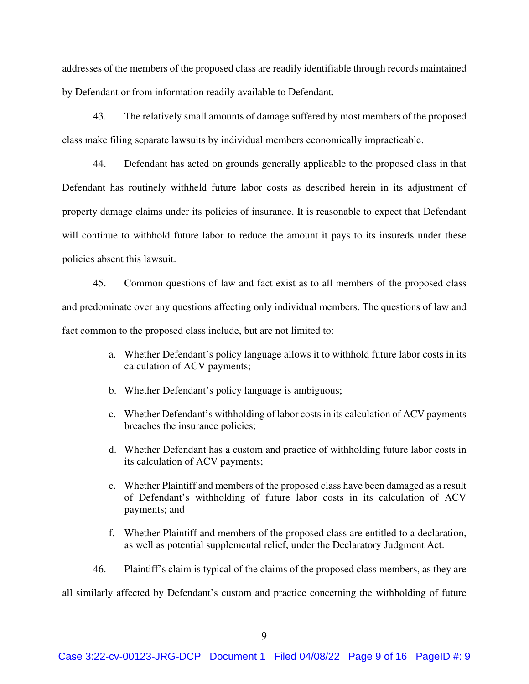addresses of the members of the proposed class are readily identifiable through records maintained by Defendant or from information readily available to Defendant.

43. The relatively small amounts of damage suffered by most members of the proposed class make filing separate lawsuits by individual members economically impracticable.

44. Defendant has acted on grounds generally applicable to the proposed class in that Defendant has routinely withheld future labor costs as described herein in its adjustment of property damage claims under its policies of insurance. It is reasonable to expect that Defendant will continue to withhold future labor to reduce the amount it pays to its insureds under these policies absent this lawsuit.

45. Common questions of law and fact exist as to all members of the proposed class and predominate over any questions affecting only individual members. The questions of law and fact common to the proposed class include, but are not limited to:

- a. Whether Defendant's policy language allows it to withhold future labor costs in its calculation of ACV payments;
- b. Whether Defendant's policy language is ambiguous;
- c. Whether Defendant's withholding of labor costs in its calculation of ACV payments breaches the insurance policies;
- d. Whether Defendant has a custom and practice of withholding future labor costs in its calculation of ACV payments;
- e. Whether Plaintiff and members of the proposed class have been damaged as a result of Defendant's withholding of future labor costs in its calculation of ACV payments; and
- f. Whether Plaintiff and members of the proposed class are entitled to a declaration, as well as potential supplemental relief, under the Declaratory Judgment Act.
- 46. Plaintiff's claim is typical of the claims of the proposed class members, as they are

all similarly affected by Defendant's custom and practice concerning the withholding of future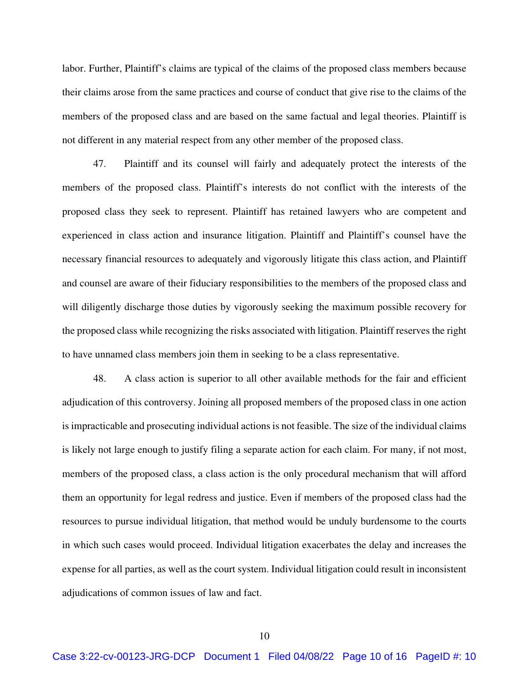labor. Further, Plaintiff's claims are typical of the claims of the proposed class members because their claims arose from the same practices and course of conduct that give rise to the claims of the members of the proposed class and are based on the same factual and legal theories. Plaintiff is not different in any material respect from any other member of the proposed class.

47. Plaintiff and its counsel will fairly and adequately protect the interests of the members of the proposed class. Plaintiff's interests do not conflict with the interests of the proposed class they seek to represent. Plaintiff has retained lawyers who are competent and experienced in class action and insurance litigation. Plaintiff and Plaintiff's counsel have the necessary financial resources to adequately and vigorously litigate this class action, and Plaintiff and counsel are aware of their fiduciary responsibilities to the members of the proposed class and will diligently discharge those duties by vigorously seeking the maximum possible recovery for the proposed class while recognizing the risks associated with litigation. Plaintiff reserves the right to have unnamed class members join them in seeking to be a class representative.

48. A class action is superior to all other available methods for the fair and efficient adjudication of this controversy. Joining all proposed members of the proposed class in one action is impracticable and prosecuting individual actions is not feasible. The size of the individual claims is likely not large enough to justify filing a separate action for each claim. For many, if not most, members of the proposed class, a class action is the only procedural mechanism that will afford them an opportunity for legal redress and justice. Even if members of the proposed class had the resources to pursue individual litigation, that method would be unduly burdensome to the courts in which such cases would proceed. Individual litigation exacerbates the delay and increases the expense for all parties, as well as the court system. Individual litigation could result in inconsistent adjudications of common issues of law and fact.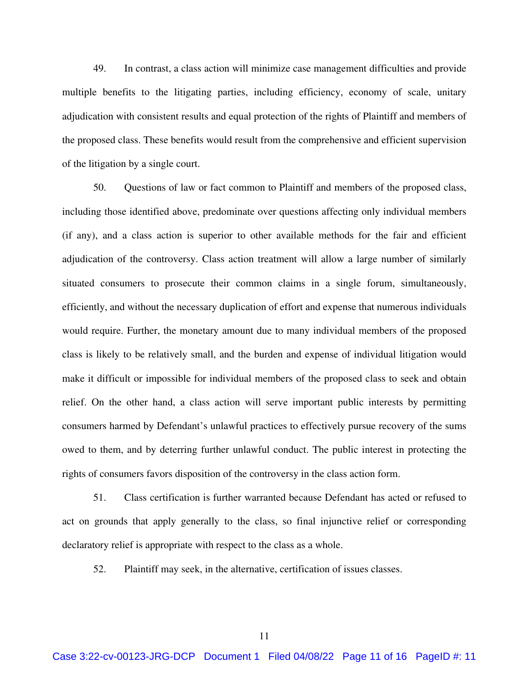49. In contrast, a class action will minimize case management difficulties and provide multiple benefits to the litigating parties, including efficiency, economy of scale, unitary adjudication with consistent results and equal protection of the rights of Plaintiff and members of the proposed class. These benefits would result from the comprehensive and efficient supervision of the litigation by a single court.

50. Questions of law or fact common to Plaintiff and members of the proposed class, including those identified above, predominate over questions affecting only individual members (if any), and a class action is superior to other available methods for the fair and efficient adjudication of the controversy. Class action treatment will allow a large number of similarly situated consumers to prosecute their common claims in a single forum, simultaneously, efficiently, and without the necessary duplication of effort and expense that numerous individuals would require. Further, the monetary amount due to many individual members of the proposed class is likely to be relatively small, and the burden and expense of individual litigation would make it difficult or impossible for individual members of the proposed class to seek and obtain relief. On the other hand, a class action will serve important public interests by permitting consumers harmed by Defendant's unlawful practices to effectively pursue recovery of the sums owed to them, and by deterring further unlawful conduct. The public interest in protecting the rights of consumers favors disposition of the controversy in the class action form.

51. Class certification is further warranted because Defendant has acted or refused to act on grounds that apply generally to the class, so final injunctive relief or corresponding declaratory relief is appropriate with respect to the class as a whole.

52. Plaintiff may seek, in the alternative, certification of issues classes.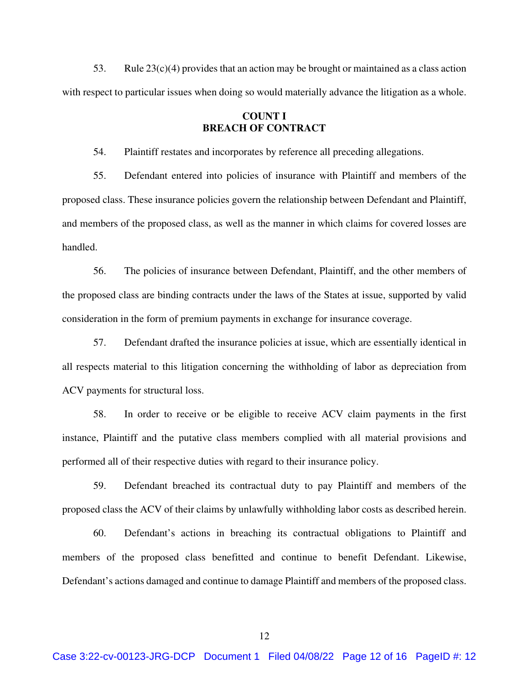53. Rule  $23(c)(4)$  provides that an action may be brought or maintained as a class action with respect to particular issues when doing so would materially advance the litigation as a whole.

## **COUNT I BREACH OF CONTRACT**

54. Plaintiff restates and incorporates by reference all preceding allegations.

55. Defendant entered into policies of insurance with Plaintiff and members of the proposed class. These insurance policies govern the relationship between Defendant and Plaintiff, and members of the proposed class, as well as the manner in which claims for covered losses are handled.

56. The policies of insurance between Defendant, Plaintiff, and the other members of the proposed class are binding contracts under the laws of the States at issue, supported by valid consideration in the form of premium payments in exchange for insurance coverage.

57. Defendant drafted the insurance policies at issue, which are essentially identical in all respects material to this litigation concerning the withholding of labor as depreciation from ACV payments for structural loss.

58. In order to receive or be eligible to receive ACV claim payments in the first instance, Plaintiff and the putative class members complied with all material provisions and performed all of their respective duties with regard to their insurance policy.

59. Defendant breached its contractual duty to pay Plaintiff and members of the proposed class the ACV of their claims by unlawfully withholding labor costs as described herein.

60. Defendant's actions in breaching its contractual obligations to Plaintiff and members of the proposed class benefitted and continue to benefit Defendant. Likewise, Defendant's actions damaged and continue to damage Plaintiff and members of the proposed class.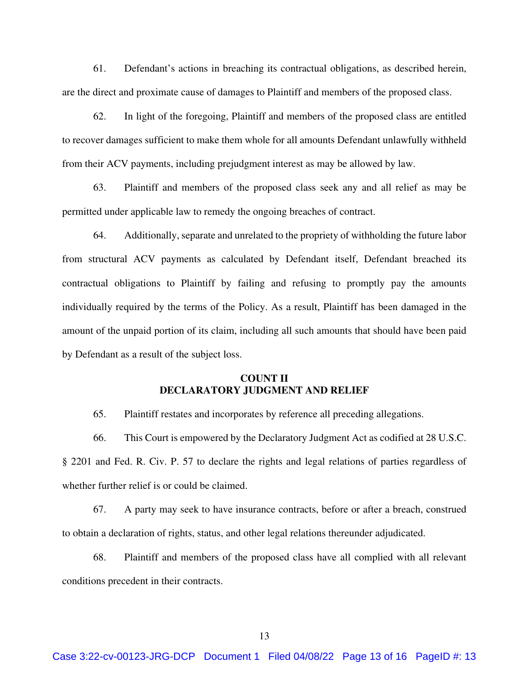61. Defendant's actions in breaching its contractual obligations, as described herein, are the direct and proximate cause of damages to Plaintiff and members of the proposed class.

62. In light of the foregoing, Plaintiff and members of the proposed class are entitled to recover damages sufficient to make them whole for all amounts Defendant unlawfully withheld from their ACV payments, including prejudgment interest as may be allowed by law.

63. Plaintiff and members of the proposed class seek any and all relief as may be permitted under applicable law to remedy the ongoing breaches of contract.

64. Additionally, separate and unrelated to the propriety of withholding the future labor from structural ACV payments as calculated by Defendant itself, Defendant breached its contractual obligations to Plaintiff by failing and refusing to promptly pay the amounts individually required by the terms of the Policy. As a result, Plaintiff has been damaged in the amount of the unpaid portion of its claim, including all such amounts that should have been paid by Defendant as a result of the subject loss.

## **COUNT II DECLARATORY JUDGMENT AND RELIEF**

65. Plaintiff restates and incorporates by reference all preceding allegations.

66. This Court is empowered by the Declaratory Judgment Act as codified at 28 U.S.C. § 2201 and Fed. R. Civ. P. 57 to declare the rights and legal relations of parties regardless of whether further relief is or could be claimed.

67. A party may seek to have insurance contracts, before or after a breach, construed to obtain a declaration of rights, status, and other legal relations thereunder adjudicated.

68. Plaintiff and members of the proposed class have all complied with all relevant conditions precedent in their contracts.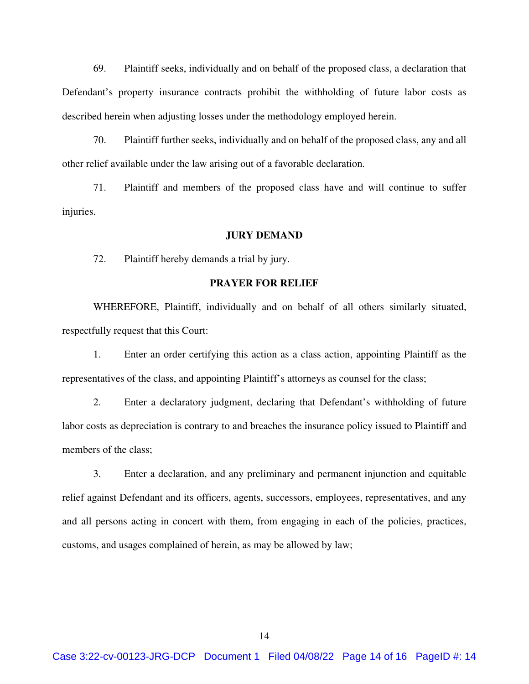69. Plaintiff seeks, individually and on behalf of the proposed class, a declaration that Defendant's property insurance contracts prohibit the withholding of future labor costs as described herein when adjusting losses under the methodology employed herein.

70. Plaintiff further seeks, individually and on behalf of the proposed class, any and all other relief available under the law arising out of a favorable declaration.

71. Plaintiff and members of the proposed class have and will continue to suffer injuries.

#### **JURY DEMAND**

72. Plaintiff hereby demands a trial by jury.

## **PRAYER FOR RELIEF**

WHEREFORE, Plaintiff, individually and on behalf of all others similarly situated, respectfully request that this Court:

 1. Enter an order certifying this action as a class action, appointing Plaintiff as the representatives of the class, and appointing Plaintiff's attorneys as counsel for the class;

2. Enter a declaratory judgment, declaring that Defendant's withholding of future labor costs as depreciation is contrary to and breaches the insurance policy issued to Plaintiff and members of the class;

3. Enter a declaration, and any preliminary and permanent injunction and equitable relief against Defendant and its officers, agents, successors, employees, representatives, and any and all persons acting in concert with them, from engaging in each of the policies, practices, customs, and usages complained of herein, as may be allowed by law;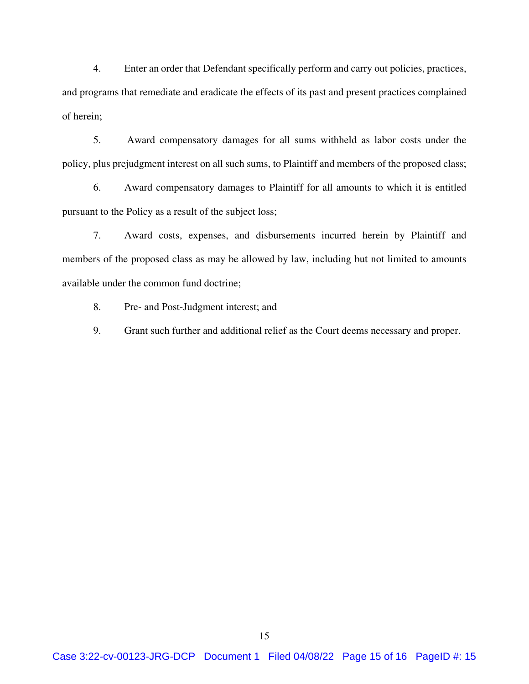4. Enter an order that Defendant specifically perform and carry out policies, practices, and programs that remediate and eradicate the effects of its past and present practices complained of herein;

5. Award compensatory damages for all sums withheld as labor costs under the policy, plus prejudgment interest on all such sums, to Plaintiff and members of the proposed class;

6. Award compensatory damages to Plaintiff for all amounts to which it is entitled pursuant to the Policy as a result of the subject loss;

7. Award costs, expenses, and disbursements incurred herein by Plaintiff and members of the proposed class as may be allowed by law, including but not limited to amounts available under the common fund doctrine;

8. Pre- and Post-Judgment interest; and

9. Grant such further and additional relief as the Court deems necessary and proper.